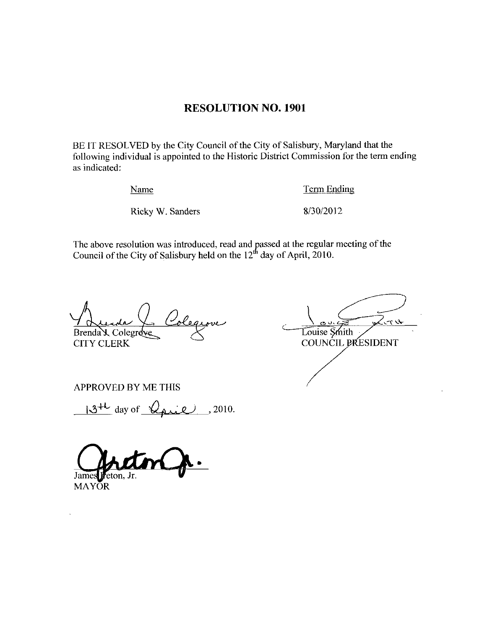### RESOLUTION NO. 1901

BE IT RESOLVED by the City Council of the City of Salisbury, Maryland that the following individual is appointed to the Historic District Commission for the term ending as indicated France State Commission<br>
Ricky W. Sanders 8/30/2012

Name Term Ending

The above resolution was introduced, read and passed at the regular meeting of the Council of the City of Salisbury hald on the 12<sup>th</sup> day of April 2010. Council of the City of Salisbury held on the  $12<sup>th</sup>$  day of April, 2010.

Coleqiove Brenda X, Colegrove CITY CLERK

 $5 - 3$ Louise Smith COUNCIL PRESIDENT

APPROVED BY ME THIS

 $13^{11}$  day of  $\sqrt{2}$  2010.

James Feton, Jr.

**MAYOR**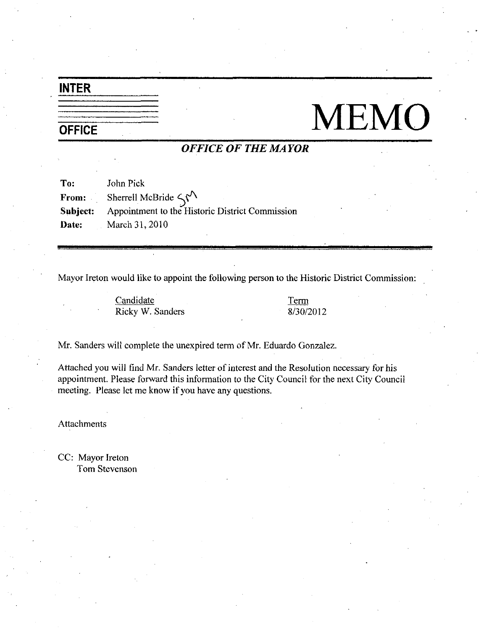# INTER

# OFFICE MEMO

## OFFICE OF THE MAYOR

| To:      | John Pick                                                                 |
|----------|---------------------------------------------------------------------------|
|          | <b>From:</b> Sherrell McBride $\langle \hat{\mathbf{y}}^{\prime} \rangle$ |
| Subject: | Appointment to the Historic District Commission                           |
|          | <b>Date:</b> March 31, 2010                                               |

Mayor Ireton would like to appoint the following person to the Historic District Commission

**Candidate** Ricky W. Sanders Term the Histor<br><u>Term</u><br>8/30/2012

Mr. Sanders will complete the unexpired term of Mr. Eduardo Gonzalez.

Attached you will find Mr. Sanders letter of interest and the Resolution necessary for his appointment. Please forward this information to the City Council for the next City Council meeting. Please let me know if you have any questions.

Attachments

CC: Mayor Ireton Tom Stevenson